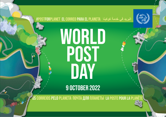**#POSTFORPLANET EL CORREO PARA EL PLANETA**



**9 OCTOBER 2022**

**OS CORREIOS PELO PLANETA ПОЧТА ДЛЯ ПЛАНЕТЫ LA POSTE POUR LA PLANÈTE**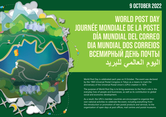### **9 OCTOBER 2022**

## **WORLD POST DAY JOURNÉE MONDIALE DE LA POSTE DÍA MUNDIAL DEL CORREO DIA MUNDIAL DOS CORREIOS ВСЕМИРНЫЙ ДЕНЬ ПОЧТЫ**

World Post Day is celebrated each year on 9 October. The event was declared by the 1969 Universal Postal Congress in Tokyo as a means to mark the anniversary of the Universal Postal Union's (UPU) creation in 1874.

The purpose of World Post Day is to bring awareness to the Post's role in the everyday lives of people and businesses, as well as its contribution to global social and economic development.

As a result, the UPU's member countries are encouraged to organize their own national activities to celebrate the event, including everything from the introduction or promotion of new postal products and services, to the organization of open days at post offices, mail centres and postal museums.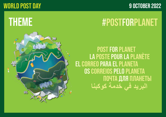## **WORLD POST DAY 9 OCTOBER 2022**

## **THEME**

## **#POSTFORPLANET**



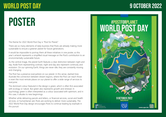### **9 OCTOBER 2022**

## **POSTER**

The theme for 2022 World Post Day is "Post for Planet."

There are so many elements of daily business that Posts are already making more sustainable to ensure a greener planet for future generations.

It would be impossible to portray them all these initiatives in one poster, so this year's artwork represents a simplified visual message on the Post's contribution to an environmentally sustainable future.

As the central image, the planet Earth features a clear distinction between night and day. Aside from representing contrast, night and day also represent continuity and evolution. On our spinning Earth, things are never idle; they are constantly moving and changing.

The Post has a presence everywhere on our planet. In this sense, dashed lines illustrate the connection between distant regions, where the Post can reach those in even the most remote places on our planet to offer a wide range of services to everyone.

The dominant colour featured in the design is green, which is often first associated with ecology or nature. But green also represents growth and renewal. In psychology, green is often interpreted as a colour associated with optimism, and in this case, it alludes to new beginnings.

Whether while delivering parcels and letters, or financial services, social and health services, or humanitarian aid, Posts are working to deliver more sustainably. The 2022 World Post Day design encourages Posts to continue leading by example in this pursuit.

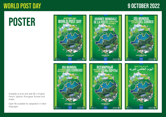### **9 OCTOBER 2022**

## **POSTER**

Available as print and web file in English, French, Spanish, Portugese, Russian and Arabic.

Open file available for adaptation in other languages.

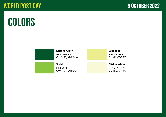## **COLORS**



#### **Kaitoke Green**

HEX #8BC53F CMYK 51/0/100/0

**Sushi**

HEX #01542B CMYK 90/39/99/40 **Wild Rice** HEX #ECED8E CMYK 9/0/56/0

### **Citrine White**

HEX #FAF8D5 CMYK 2/0/19/0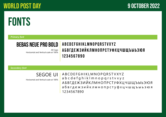## **FONTS**

*Primary font*

### **BEBAS NEUE PRO BOLD**

All Caps Horizontal and Vertical scale at 100%

### **ABCDEFGHIKLMNOPQRSTVXYZ АБВГДЕЖЗИЙКЛМНОПРСТУФХЦЧШЩЪЫЬЭЮЯ 1234567890**

*Secondary font*

### SEGOE UI

Horizontal and Vertical scale at 100%

ABCDEFGHIKLMNOPQRSTVXYZ abcdefghiklmnopqrstvxyz АБВГДЕЖЗИЙКЛМНОПРСТУФХЦЧШЩЪЫЬЭЮЯ абвгдежзийклмнопрстуфхцчшщъыьэюя 1234567890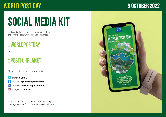# **SOCIAL MEDIA KIT**

Posts and other partners are welcome to share their World Post Day content using hashtags

### #**WORLD**POST**DAY**

*and*

## #**POST**FOR**PLANET**

Please tag UPU accounts in your posts:

- Twitter **[@UPU\\_UN](https://twitter.com/UPU_UN)**
- Facebook **[@universalpostalunion](https://www.facebook.com/universalpostalunion)** F.
- in LinkedIn **[@universal-postal-union](https://www.linkedin.com/company/universal-postal-union/mycompany/)**
- ි Instagram **[@upu\\_un](https://www.instagram.com/upu_un/)**

More information, social media cards, and sample messaging can be found on a dedicated [Trello board](https://trello.com/b/2R01lObs/world-post-day-2022-upu-social-media-board).

## **9 OCTOBER 2022**